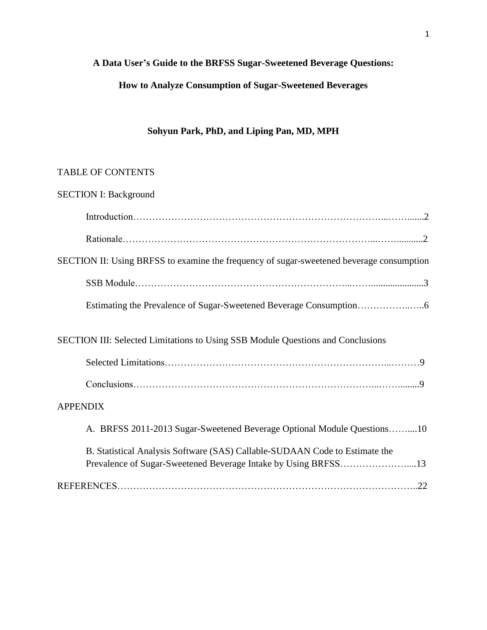## **A Data User's Guide to the BRFSS Sugar-Sweetened Beverage Questions:**

# **How to Analyze Consumption of Sugar-Sweetened Beverages**

## **Sohyun Park, PhD, and Liping Pan, MD, MPH**

# TABLE OF CONTENTS

| <b>SECTION I: Background</b>                                                                                                                  |
|-----------------------------------------------------------------------------------------------------------------------------------------------|
|                                                                                                                                               |
|                                                                                                                                               |
| SECTION II: Using BRFSS to examine the frequency of sugar-sweetened beverage consumption                                                      |
|                                                                                                                                               |
|                                                                                                                                               |
| SECTION III: Selected Limitations to Using SSB Module Questions and Conclusions                                                               |
|                                                                                                                                               |
|                                                                                                                                               |
| <b>APPENDIX</b>                                                                                                                               |
| A. BRFSS 2011-2013 Sugar-Sweetened Beverage Optional Module Questions10                                                                       |
| B. Statistical Analysis Software (SAS) Callable-SUDAAN Code to Estimate the<br>Prevalence of Sugar-Sweetened Beverage Intake by Using BRFSS13 |
|                                                                                                                                               |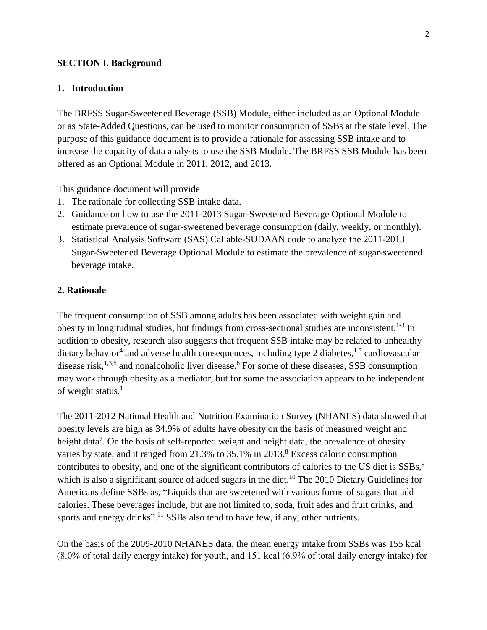#### **SECTION I. Background**

#### **1. Introduction**

The BRFSS Sugar-Sweetened Beverage (SSB) Module, either included as an Optional Module or as State-Added Questions, can be used to monitor consumption of SSBs at the state level. The purpose of this guidance document is to provide a rationale for assessing SSB intake and to increase the capacity of data analysts to use the SSB Module. The BRFSS SSB Module has been offered as an Optional Module in 2011, 2012, and 2013.

This guidance document will provide

- 1. The rationale for collecting SSB intake data.
- 2. Guidance on how to use the 2011-2013 Sugar-Sweetened Beverage Optional Module to estimate prevalence of sugar-sweetened beverage consumption (daily, weekly, or monthly).
- 3. Statistical Analysis Software (SAS) Callable-SUDAAN code to analyze the 2011-2013 Sugar-Sweetened Beverage Optional Module to estimate the prevalence of sugar-sweetened beverage intake.

### **2. Rationale**

The frequent consumption of SSB among adults has been associated with weight gain and obesity in longitudinal studies, but findings from cross-sectional studies are inconsistent.<sup>1-3</sup> In addition to obesity, research also suggests that frequent SSB intake may be related to unhealthy dietary behavior<sup>4</sup> and adverse health consequences, including type 2 diabetes, <sup>1,3</sup> cardiovascular disease risk,<sup>1,3,5</sup> and nonalcoholic liver disease.<sup>6</sup> For some of these diseases, SSB consumption may work through obesity as a mediator, but for some the association appears to be independent of weight status. $<sup>1</sup>$ </sup>

The 2011-2012 National Health and Nutrition Examination Survey (NHANES) data showed that obesity levels are high as 34.9% of adults have obesity on the basis of measured weight and height data<sup>7</sup>. On the basis of self-reported weight and height data, the prevalence of obesity varies by state, and it ranged from 21.3% to 35.1% in 2013.<sup>8</sup> Excess caloric consumption contributes to obesity, and one of the significant contributors of calories to the US diet is SSBs,<sup>9</sup> which is also a significant source of added sugars in the diet.<sup>10</sup> The 2010 Dietary Guidelines for Americans define SSBs as, "Liquids that are sweetened with various forms of sugars that add calories. These beverages include, but are not limited to, soda, fruit ades and fruit drinks, and sports and energy drinks".<sup>11</sup> SSBs also tend to have few, if any, other nutrients.

On the basis of the 2009-2010 NHANES data, the mean energy intake from SSBs was 155 kcal (8.0% of total daily energy intake) for youth, and 151 kcal (6.9% of total daily energy intake) for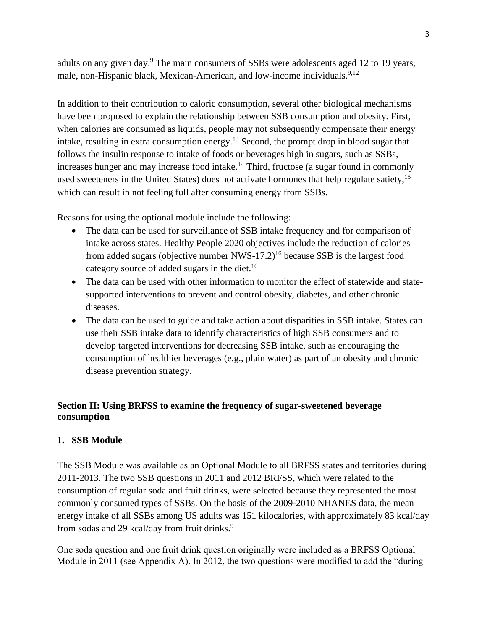adults on any given day.<sup>9</sup> The main consumers of SSBs were adolescents aged 12 to 19 years, male, non-Hispanic bla[ck,](#page-21-0) Mexican-American, and low-income individuals.<sup>9,12</sup>

In addition to their contribution to caloric consumption, several other biological mechanisms have been proposed to explain the relationship between SSB consumption and obesity. First, when calories are consumed as liquids, people may not subsequently compensate their energy intake, resulting in extra consumption energy.<sup>13</sup> Second, the prompt drop in blood sugar that follows the insulin response to intake of foods or beverages high in sugars, such as SSBs, increases hunger and may increase food intake.<sup>14</sup> Third, fructose (a sugar found in commonly used sweeteners in the United States) does not activate hormones that help regulate satiety,<sup>15</sup> which can result in not feeling full after consuming energy from SSBs.

Reasons for using the optional module include the following:

- The data can be used for surveillance of SSB intake frequency and for comparison of intake across states. Healthy People 2020 objectives include the reduction of calories from added sugars (objective number NWS-17.2)<sup>16</sup> because SSB is the largest food category source of added sugars in the diet.<sup>10</sup>
- The data can be used with other information to monitor the effect of statewide and statesupported interventions to prevent and control obesity, diabetes, and other chronic diseases.
- The data can be used to guide and take action about disparities in SSB intake. States can use their SSB intake data to identify characteristics of high SSB consumers and to develop targeted interventions for decreasing SSB intake, such as encouraging the consumption of healthier beverages (e.g., plain water) as part of an obesity and chronic disease prevention strategy.

## **Section II: Using BRFSS to examine the frequency of sugar-sweetened beverage consumption**

## **1. SSB Module**

The SSB Module was available as an Optional Module to all BRFSS states and territories during 2011-2013. The two SSB questions in 2011 and 2012 BRFSS, which were related to the consumption of regular soda and fruit drinks, were selected because they represented the most commonly consumed types of SSBs. On the basis of the 2009-2010 NHANES data, the mean energy intake of all SSBs among US adults was 151 kilocalories, with approximately 83 kcal/day from sodas and 29 kcal/day from fruit drinks.<sup>9</sup>

One soda question and one fruit drink question originally were included as a BRFSS Optional Module in 2011 (see Appendix A). In 2012, the two questions were modified to add the "during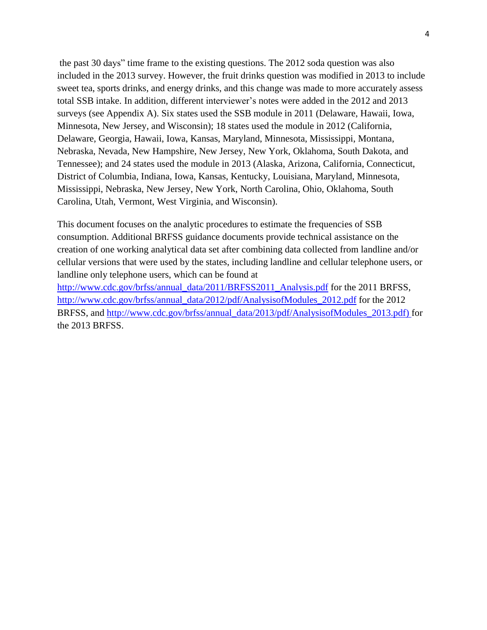the past 30 days" time frame to the existing questions. The 2012 soda question was also included in the 2013 survey. However, the fruit drinks question was modified in 2013 to include sweet tea, sports drinks, and energy drinks, and this change was made to more accurately assess total SSB intake. In addition, different interviewer's notes were added in the 2012 and 2013 surveys (see Appendix A). Six states used the SSB module in 2011 (Delaware, Hawaii, Iowa, Minnesota, New Jersey, and Wisconsin); 18 states used the module in 2012 (California, Delaware, Georgia, Hawaii, Iowa, Kansas, Maryland, Minnesota, Mississippi, Montana, Nebraska, Nevada, New Hampshire, New Jersey, New York, Oklahoma, South Dakota, and Tennessee); and 24 states used the module in 2013 (Alaska, Arizona, California, Connecticut, District of Columbia, Indiana, Iowa, Kansas, Kentucky, Louisiana, Maryland, Minnesota, Mississippi, Nebraska, New Jersey, New York, North Carolina, Ohio, Oklahoma, South Carolina, Utah, Vermont, West Virginia, and Wisconsin).

This document focuses on the analytic procedures to estimate the frequencies of SSB consumption. Additional BRFSS guidance documents provide technical assistance on the creation of one working analytical data set after combining data collected from landline and/or cellular versions that were used by the states, including landline and cellular telephone users, or landline only telephone users, which can be found at

http://www.cdc.gov/brfss/annual\_data/2011/BRFSS2011\_Analysis.pdf for the 2011 BRFSS, http://www.cdc.gov/brfss/annual\_data/2012/pdf/AnalysisofModules\_2012.pdf for the 2012 BRFSS, and [http://www.cdc.gov/brfss/annual\\_data/2013/pdf/Analysiso](http://www.cdc.gov/brfss/annual_data/2011/BRFSS2011_Analysis.pdf)fModules\_2013.pdf) for [the 2013 BRFSS.](http://www.cdc.gov/brfss/annual_data/2012/pdf/AnalysisofModules_2012.pdf)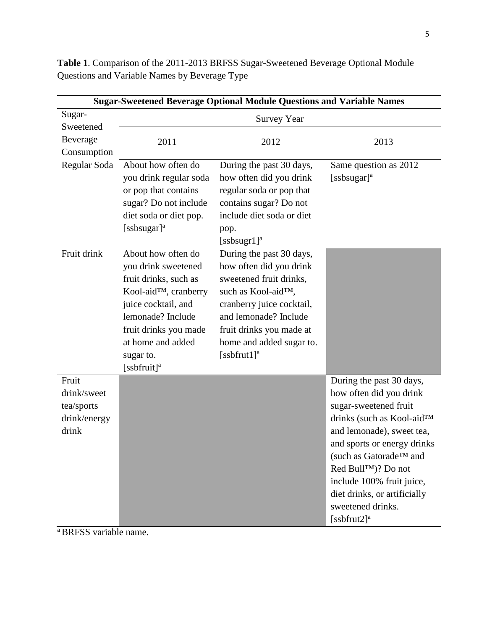| <b>Sugar-Sweetened Beverage Optional Module Questions and Variable Names</b> |                                              |                                                    |                                        |  |  |
|------------------------------------------------------------------------------|----------------------------------------------|----------------------------------------------------|----------------------------------------|--|--|
| Sugar-                                                                       |                                              | <b>Survey Year</b>                                 |                                        |  |  |
| Sweetened                                                                    |                                              |                                                    |                                        |  |  |
| Beverage                                                                     | 2011                                         | 2012                                               | 2013                                   |  |  |
| Consumption                                                                  |                                              |                                                    |                                        |  |  |
| Regular Soda                                                                 | About how often do                           | During the past 30 days,                           | Same question as 2012                  |  |  |
|                                                                              | you drink regular soda                       | how often did you drink                            | [ssbsugar] $a$                         |  |  |
|                                                                              | or pop that contains                         | regular soda or pop that                           |                                        |  |  |
|                                                                              | sugar? Do not include                        | contains sugar? Do not                             |                                        |  |  |
|                                                                              | diet soda or diet pop.                       | include diet soda or diet                          |                                        |  |  |
|                                                                              | [ssbsugar] <sup>a</sup>                      | pop.                                               |                                        |  |  |
|                                                                              |                                              | $[ssbsugr1]$ <sup>a</sup>                          |                                        |  |  |
| Fruit drink                                                                  | About how often do                           | During the past 30 days,                           |                                        |  |  |
|                                                                              | you drink sweetened<br>fruit drinks, such as | how often did you drink<br>sweetened fruit drinks, |                                        |  |  |
|                                                                              | Kool-aid™, cranberry                         | such as Kool-aid <sup>TM</sup> ,                   |                                        |  |  |
|                                                                              | juice cocktail, and                          | cranberry juice cocktail,                          |                                        |  |  |
|                                                                              | lemonade? Include                            | and lemonade? Include                              |                                        |  |  |
|                                                                              | fruit drinks you made                        | fruit drinks you made at                           |                                        |  |  |
|                                                                              | at home and added                            | home and added sugar to.                           |                                        |  |  |
|                                                                              | sugar to.                                    | [ssbfrut1] <sup>a</sup>                            |                                        |  |  |
|                                                                              | [ssbfruit] <sup>a</sup>                      |                                                    |                                        |  |  |
| Fruit                                                                        |                                              |                                                    | During the past 30 days,               |  |  |
| drink/sweet                                                                  |                                              |                                                    | how often did you drink                |  |  |
| tea/sports                                                                   |                                              |                                                    | sugar-sweetened fruit                  |  |  |
| drink/energy                                                                 |                                              |                                                    | drinks (such as Kool-aid <sup>TM</sup> |  |  |
| drink                                                                        |                                              |                                                    | and lemonade), sweet tea,              |  |  |
|                                                                              |                                              |                                                    | and sports or energy drinks            |  |  |
|                                                                              |                                              |                                                    | (such as Gatorade™ and                 |  |  |
|                                                                              |                                              |                                                    | Red Bull™)? Do not                     |  |  |
|                                                                              |                                              |                                                    | include 100% fruit juice,              |  |  |
|                                                                              |                                              |                                                    | diet drinks, or artificially           |  |  |
|                                                                              |                                              |                                                    | sweetened drinks.                      |  |  |
|                                                                              |                                              |                                                    | [ $ssbfrut2$ ] <sup>a</sup>            |  |  |

**Table 1**. Comparison of the 2011-2013 BRFSS Sugar-Sweetened Beverage Optional Module Questions and Variable Names by Beverage Type

<sup>a</sup>BRFSS variable name.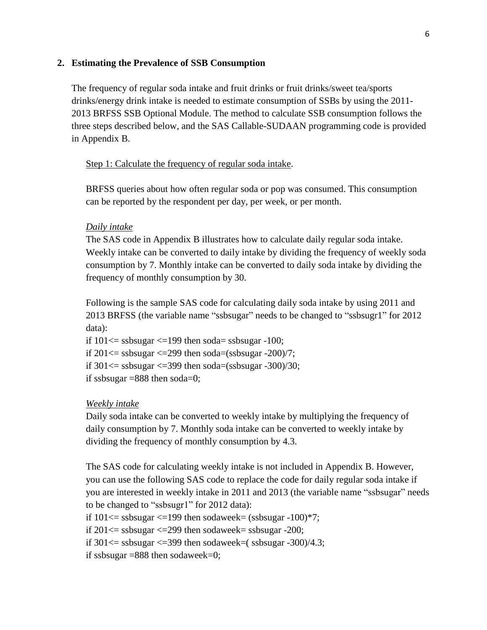#### **2. Estimating the Prevalence of SSB Consumption**

The frequency of regular soda intake and fruit drinks or fruit drinks/sweet tea/sports drinks/energy drink intake is needed to estimate consumption of SSBs by using the 2011- 2013 BRFSS SSB Optional Module. The method to calculate SSB consumption follows the three steps described below, and the SAS Callable-SUDAAN programming code is provided in Appendix B.

#### Step 1: Calculate the frequency of regular soda intake.

BRFSS queries about how often regular soda or pop was consumed. This consumption can be reported by the respondent per day, per week, or per month.

#### *Daily intake*

The SAS code in Appendix B illustrates how to calculate daily regular soda intake. Weekly intake can be converted to daily intake by dividing the frequency of weekly soda consumption by 7. Monthly intake can be converted to daily soda intake by dividing the frequency of monthly consumption by 30.

Following is the sample SAS code for calculating daily soda intake by using 2011 and 2013 BRFSS (the variable name "ssbsugar" needs to be changed to "ssbsugr1" for 2012 data):

if  $101 \leq s$  ssbsugar  $\leq 199$  then soda = ssbsugar -100; if  $201 \leq$  ssbsugar  $\leq$  299 then soda=(ssbsugar -200)/7; if  $301 \leq s$  ssbsugar  $\leq 399$  then soda=(ssbsugar -300)/30; if ssbsugar  $=888$  then soda $=0$ ;

#### *Weekly intake*

Daily soda intake can be converted to weekly intake by multiplying the frequency of daily consumption by 7. Monthly soda intake can be converted to weekly intake by dividing the frequency of monthly consumption by 4.3.

The SAS code for calculating weekly intake is not included in Appendix B. However, you can use the following SAS code to replace the code for daily regular soda intake if you are interested in weekly intake in 2011 and 2013 (the variable name "ssbsugar" needs to be changed to "ssbsugr1" for 2012 data):

if  $101 \leq$  ssbsugar  $\leq$  199 then sodaweek= (ssbsugar -100)\*7;

if  $201 \leq s$ ssbsugar $\leq 299$  then sodaweek= ssbsugar -200;

if  $301 \leq s$ ssbsugar  $\leq 399$  then sodaweek=(ssbsugar -300)/4.3;

if ssbsugar =888 then sodaweek=0;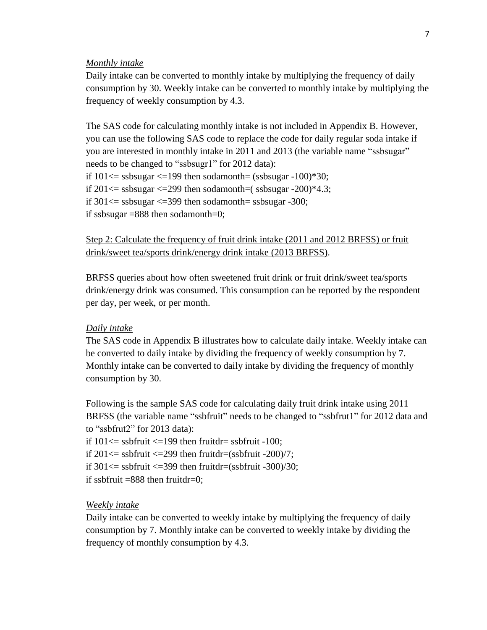#### *Monthly intake*

Daily intake can be converted to monthly intake by multiplying the frequency of daily consumption by 30. Weekly intake can be converted to monthly intake by multiplying the frequency of weekly consumption by 4.3.

The SAS code for calculating monthly intake is not included in Appendix B. However, you can use the following SAS code to replace the code for daily regular soda intake if you are interested in monthly intake in 2011 and 2013 (the variable name "ssbsugar" needs to be changed to "ssbsugr1" for 2012 data): if  $101 \leq s$ ssbsugar  $\leq 199$  then sodamonth= (ssbsugar -100)\*30; if  $201 \leq s$ ssbsugar  $\leq 299$  then sodamonth=(ssbsugar -200)\*4.3; if  $301 \leq s$ ssbsugar  $\leq 399$  then sodamonth= ssbsugar -300; if ssbsugar =888 then sodamonth=0;

### Step 2: Calculate the frequency of fruit drink intake (2011 and 2012 BRFSS) or fruit drink/sweet tea/sports drink/energy drink intake (2013 BRFSS).

BRFSS queries about how often sweetened fruit drink or fruit drink/sweet tea/sports drink/energy drink was consumed. This consumption can be reported by the respondent per day, per week, or per month.

#### *Daily intake*

The SAS code in Appendix B illustrates how to calculate daily intake. Weekly intake can be converted to daily intake by dividing the frequency of weekly consumption by 7. Monthly intake can be converted to daily intake by dividing the frequency of monthly consumption by 30.

Following is the sample SAS code for calculating daily fruit drink intake using 2011 BRFSS (the variable name "ssbfruit" needs to be changed to "ssbfrut1" for 2012 data and to "ssbfrut2" for 2013 data): if  $101 \leq s$ s sbfruit  $\leq 199$  then fruitdr= ssbfruit -100; if  $201 \leq s$  ssbfruit  $\leq 299$  then fruitdr=(ssbfruit -200)/7; if  $301 \leq s$  ssbfruit  $\leq 399$  then fruitdr=(ssbfruit -300)/30;

if ssbfruit  $=888$  then fruitdr $=0$ :

#### *Weekly intake*

Daily intake can be converted to weekly intake by multiplying the frequency of daily consumption by 7. Monthly intake can be converted to weekly intake by dividing the frequency of monthly consumption by 4.3.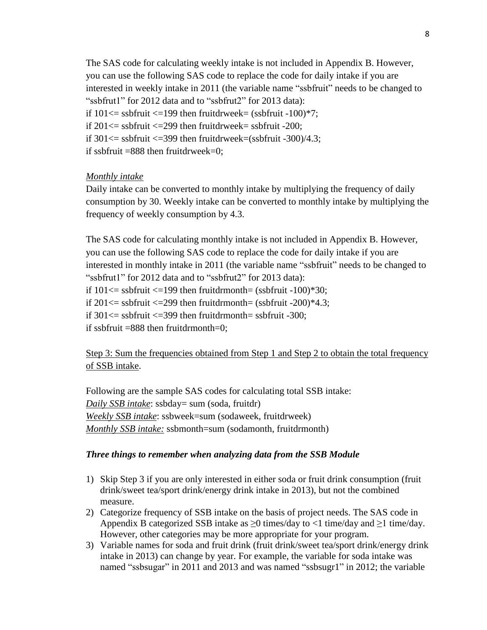The SAS code for calculating weekly intake is not included in Appendix B. However, you can use the following SAS code to replace the code for daily intake if you are interested in weekly intake in 2011 (the variable name "ssbfruit" needs to be changed to "ssbfrut1" for 2012 data and to "ssbfrut2" for 2013 data): if  $101 \leq s$ s sbfruit  $\leq 199$  then fruitdrweek = (ssbfruit -100)\*7; if  $201 \leq s$  ssbfruit  $\leq 299$  then fruitdrweek = ssbfruit -200; if  $301 \leq s$  ssbfruit  $\leq 399$  then fruitdrweek=(ssbfruit -300)/4.3; if ssbfruit  $=888$  then fruitdrweek $=0$ ;

#### *Monthly intake*

Daily intake can be converted to monthly intake by multiplying the frequency of daily consumption by 30. Weekly intake can be converted to monthly intake by multiplying the frequency of weekly consumption by 4.3.

The SAS code for calculating monthly intake is not included in Appendix B. However, you can use the following SAS code to replace the code for daily intake if you are interested in monthly intake in 2011 (the variable name "ssbfruit" needs to be changed to "ssbfrut1" for 2012 data and to "ssbfrut2" for 2013 data): if  $101 \leq s$ s sbfruit  $\leq 199$  then fruitdrmonth= (ssbfruit -100)\*30; if  $201 \leq s$ ssbfruit  $\leq 299$  then fruitdrmonth= (ssbfruit -200)\*4.3; if  $301 \leq s$  ssbfruit  $\leq 399$  then fruitdrmonth= ssbfruit -300; if ssbfruit  $=888$  then fruitdrmonth $=0$ :

Step 3: Sum the frequencies obtained from Step 1 and Step 2 to obtain the total frequency of SSB intake.

Following are the sample SAS codes for calculating total SSB intake: *Daily SSB intake*: ssbday= sum (soda, fruitdr) *Weekly SSB intake*: ssbweek=sum (sodaweek, fruitdrweek) *Monthly SSB intake:* ssbmonth=sum (sodamonth, fruitdrmonth)

### *Three things to remember when analyzing data from the SSB Module*

- 1) Skip Step 3 if you are only interested in either soda or fruit drink consumption (fruit drink/sweet tea/sport drink/energy drink intake in 2013), but not the combined measure.
- 2) Categorize frequency of SSB intake on the basis of project needs. The SAS code in Appendix B categorized SSB intake as  $\geq 0$  times/day to <1 time/day and  $\geq 1$  time/day. However, other categories may be more appropriate for your program.
- 3) Variable names for soda and fruit drink (fruit drink/sweet tea/sport drink/energy drink intake in 2013) can change by year. For example, the variable for soda intake was named "ssbsugar" in 2011 and 2013 and was named "ssbsugr1" in 2012; the variable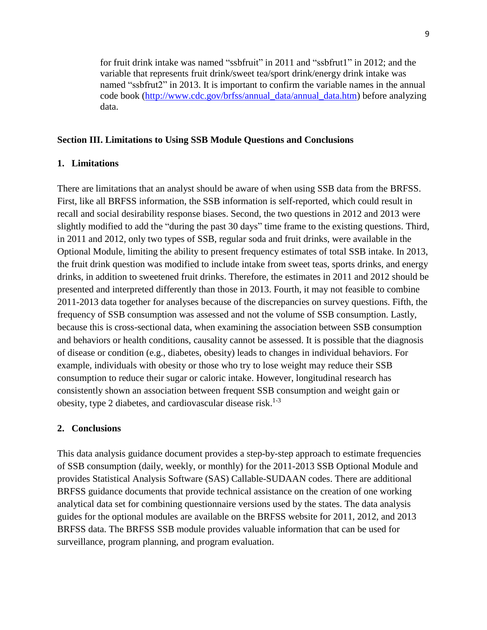for fruit drink intake was named "ssbfruit" in 2011 and "ssbfrut1" in 2012; and the variable that represents fruit drink/sweet tea/sport drink/energy drink intake was named "ssbfrut2" in 2013. It is important to confirm the variable names in the annual code book [\(http://www.cdc.gov/brfss/annual\\_data/annual\\_data.htm\)](http://www.cdc.gov/brfss/annual_data/annual_data.htm) before analyzing data.

#### **Section III. Limitations to Using SSB Module Questions and Conclusions**

#### **1. Limitations**

There are limitations that an analyst should be aware of when using SSB data from the BRFSS. First, like all BRFSS information, the SSB information is self-reported, which could result in recall and social desirability response biases. Second, the two questions in 2012 and 2013 were slightly modified to add the "during the past 30 days" time frame to the existing questions. Third, in 2011 and 2012, only two types of SSB, regular soda and fruit drinks, were available in the Optional Module, limiting the ability to present frequency estimates of total SSB intake. In 2013, the fruit drink question was modified to include intake from sweet teas, sports drinks, and energy drinks, in addition to sweetened fruit drinks. Therefore, the estimates in 2011 and 2012 should be presented and interpreted differently than those in 2013. Fourth, it may not feasible to combine 2011-2013 data together for analyses because of the discrepancies on survey questions. Fifth, the frequency of SSB consumption was assessed and not the volume of SSB consumption. Lastly, because this is cross-sectional data, when examining the association between SSB consumption and behaviors or health conditions, causality cannot be assessed. It is possible that the diagnosis of disease or condition (e.g., diabetes, obesity) leads to changes in individual behaviors. For example, individuals with obesity or those who try to lose weight may reduce their SSB consumption to reduce their sugar or caloric intake. However, longitudinal research has consistently shown an association between frequent SSB consumption and weight gain or obesity, type 2 diabetes, and cardiovascular disease risk.<sup>[1-3](#page-21-1)</sup>

#### **2. Conclusions**

This data analysis guidance document provides a step-by-step approach to estimate frequencies of SSB consumption (daily, weekly, or monthly) for the 2011-2013 SSB Optional Module and provides Statistical Analysis Software (SAS) Callable-SUDAAN codes. There are additional BRFSS guidance documents that provide technical assistance on the creation of one working analytical data set for combining questionnaire versions used by the states. The data analysis guides for the optional modules are available on the BRFSS website for 2011, 2012, and 2013 BRFSS data. The BRFSS SSB module provides valuable information that can be used for surveillance, program planning, and program evaluation.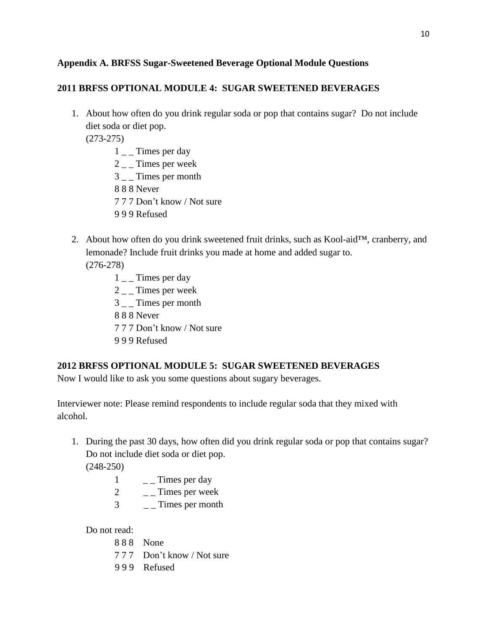### **Appendix A. BRFSS Sugar-Sweetened Beverage Optional Module Questions**

## **2011 BRFSS OPTIONAL MODULE 4: SUGAR SWEETENED BEVERAGES**

1. About how often do you drink regular soda or pop that contains sugar? Do not include diet soda or diet pop.

(273-275)

- $1\_\_$ Times per day
- 2 \_ \_ Times per week
- 3 Times per month
- 8 8 8 Never
- 7 7 7 Don't know / Not sure
- 9 9 9 Refused
- 2. About how often do you drink sweetened fruit drinks, such as Kool-aid™, cranberry, and lemonade? Include fruit drinks you made at home and added sugar to.

(276-278)

- $1 -$ Times per day
- $2 -$ Times per week
- 3 \_ \_ Times per month
- 8 8 8 Never
- 7 7 7 Don't know / Not sure
- 9 9 9 Refused

## **2012 BRFSS OPTIONAL MODULE 5: SUGAR SWEETENED BEVERAGES**

Now I would like to ask you some questions about sugary beverages.

Interviewer note: Please remind respondents to include regular soda that they mixed with alcohol.

1. During the past 30 days, how often did you drink regular soda or pop that contains sugar? Do not include diet soda or diet pop.

(248-250)

- 1  $\qquad$   $\qquad$   $\qquad$  Times per day
- 2  $\overline{\phantom{a}}$  – Times per week
- 3  $\overline{\phantom{a}}$  \_ Times per month

Do not read:

- 8 8 8 None
- 7 7 7 Don't know / Not sure
- 9 9 9 Refused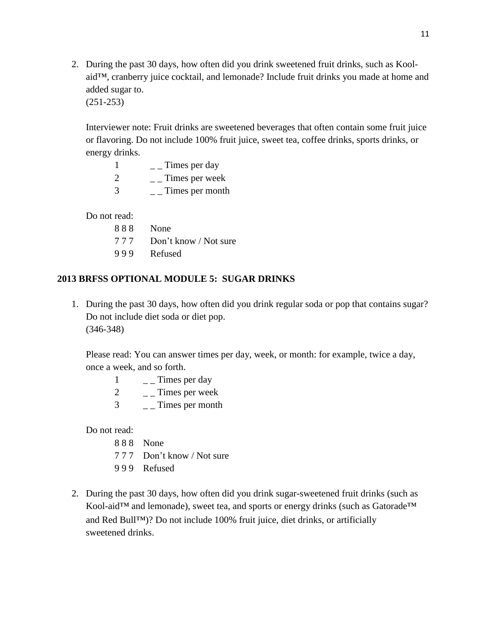2. During the past 30 days, how often did you drink sweetened fruit drinks, such as Koolaid™, cranberry juice cocktail, and lemonade? Include fruit drinks you made at home and added sugar to. (251-253)

Interviewer note: Fruit drinks are sweetened beverages that often contain some fruit juice or flavoring. Do not include 100% fruit juice, sweet tea, coffee drinks, sports drinks, or energy drinks.

|   | Times per day   |
|---|-----------------|
| 2 | Times per week  |
| 3 | Times per month |

Do not read:

8 8 8 None 7 7 7 Don't know / Not sure 9 9 9 Refused

### **2013 BRFSS OPTIONAL MODULE 5: SUGAR DRINKS**

1. During the past 30 days, how often did you drink regular soda or pop that contains sugar? Do not include diet soda or diet pop. (346-348)

Please read: You can answer times per day, week, or month: for example, twice a day, once a week, and so forth.

|               | Times per day   |
|---------------|-----------------|
| 2             | Times per week  |
| $\mathcal{R}$ | Times per month |

Do not read:

- 8 8 8 None
- 7 7 7 Don't know / Not sure
- 9 9 9 Refused
- 2. During the past 30 days, how often did you drink sugar-sweetened fruit drinks (such as Kool-aid™ and lemonade), sweet tea, and sports or energy drinks (such as Gatorade™ and Red Bull™)? Do not include 100% fruit juice, diet drinks, or artificially sweetened drinks.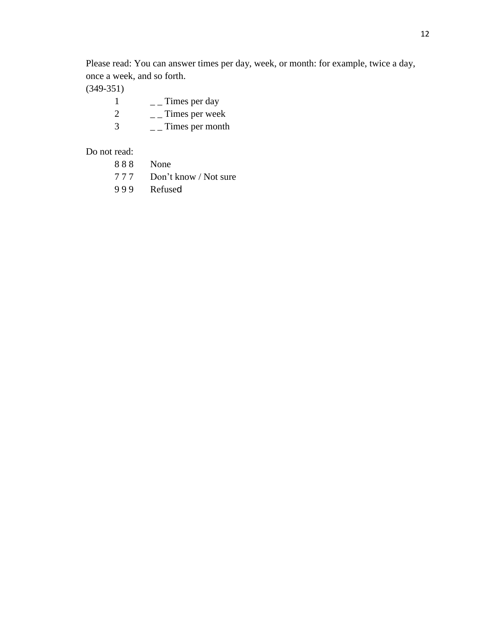Please read: You can answer times per day, week, or month: for example, twice a day, once a week, and so forth.

(349-351)

|               | Times per day   |
|---------------|-----------------|
| $\mathcal{L}$ | Times per week  |
| $\mathcal{R}$ | Times per month |

Do not read:

| 888 | None                      |
|-----|---------------------------|
|     | 777 Don't know / Not sure |
| 999 | Refused                   |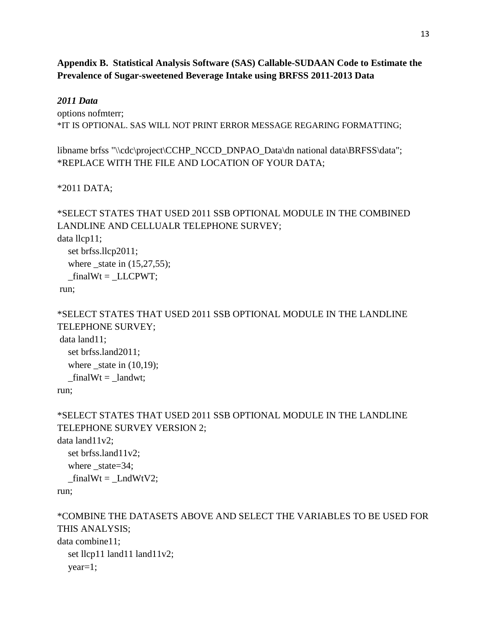**Appendix B. Statistical Analysis Software (SAS) Callable-SUDAAN Code to Estimate the Prevalence of Sugar-sweetened Beverage Intake using BRFSS 2011-2013 Data** 

### *2011 Data*

options nofmterr; \*IT IS OPTIONAL. SAS WILL NOT PRINT ERROR MESSAGE REGARING FORMATTING;

libname brfss "\\cdc\project\CCHP\_NCCD\_DNPAO\_Data\dn national data\BRFSS\data"; \*REPLACE WITH THE FILE AND LOCATION OF YOUR DATA;

### \*2011 DATA;

```
*SELECT STATES THAT USED 2011 SSB OPTIONAL MODULE IN THE COMBINED
LANDLINE AND CELLUALR TELEPHONE SURVEY; 
data llcp11; 
  set brfss.llcp2011; 
  where state in (15,27,55);
  _finalWt = _LLCPWT;
run; 
*SELECT STATES THAT USED 2011 SSB OPTIONAL MODULE IN THE LANDLINE
TELEPHONE SURVEY; 
data land11; 
  set brfss.land2011; 
  where _state in (10,19);
  finalWt = landwt;run;
```
\*SELECT STATES THAT USED 2011 SSB OPTIONAL MODULE IN THE LANDLINE TELEPHONE SURVEY VERSION 2; data land11v2; set brfss.land11v2; where  $state=34$ ;  $_$ finalWt =  $_$ LndWtV2; run;

\*COMBINE THE DATASETS ABOVE AND SELECT THE VARIABLES TO BE USED FOR THIS ANALYSIS; data combine11; set llcp11 land11 land11v2; year=1;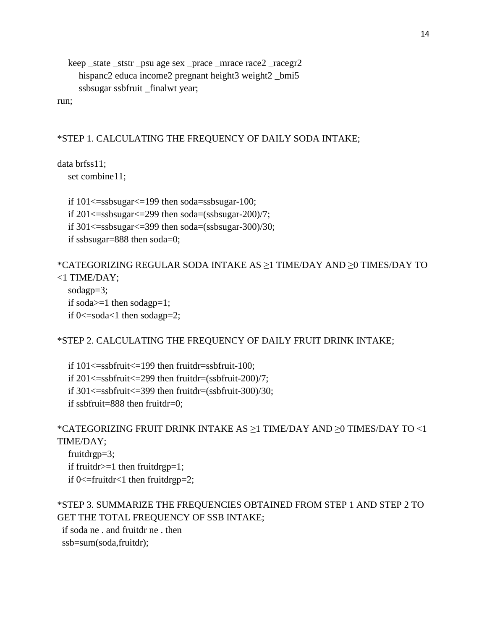keep \_state \_ststr \_psu age sex \_prace \_mrace race2 \_racegr2 hispanc2 educa income2 pregnant height3 weight2 \_bmi5 ssbsugar ssbfruit \_finalwt year;

run;

#### \*STEP 1. CALCULATING THE FREQUENCY OF DAILY SODA INTAKE;

data brfss11;

set combine11;

if 101<=ssbsugar<=199 then soda=ssbsugar-100; if  $201 \leq$ ssbsugar $\leq$  299 then soda=(ssbsugar-200)/7; if 301<=ssbsugar<=399 then soda=(ssbsugar-300)/30; if ssbsugar=888 then soda=0;

```
*CATEGORIZING REGULAR SODA INTAKE AS ≥1 TIME/DAY AND ≥0 TIMES/DAY TO
<1 TIME/DAY;
```

```
sodagp=3; 
if soda>=1 then sodagp=1;
if 0 \le=soda\le1 then sodagp=2;
```
\*STEP 2. CALCULATING THE FREQUENCY OF DAILY FRUIT DRINK INTAKE;

if  $101 \leq$ ssbfruit $\leq$ =199 then fruitdr=ssbfruit-100; if  $201 \leq s$ ssbfruit $\leq$  299 then fruitdr=(ssbfruit-200)/7; if  $301 \leq$ ssbfruit $\leq$ =399 then fruitdr=(ssbfruit-300)/30; if ssbfruit=888 then fruitdr=0;

```
*CATEGORIZING FRUIT DRINK INTAKE AS ≥1 TIME/DAY AND ≥0 TIMES/DAY TO <1
TIME/DAY;
```
fruitdrgp=3; if fruitdr $>=1$  then fruitdrgp=1; if  $0 \le$ =fruitdr $\le$ 1 then fruitdrgp=2;

```
*STEP 3. SUMMARIZE THE FREQUENCIES OBTAINED FROM STEP 1 AND STEP 2 TO
GET THE TOTAL FREQUENCY OF SSB INTAKE;
```
 if soda ne . and fruitdr ne . then ssb=sum(soda,fruitdr);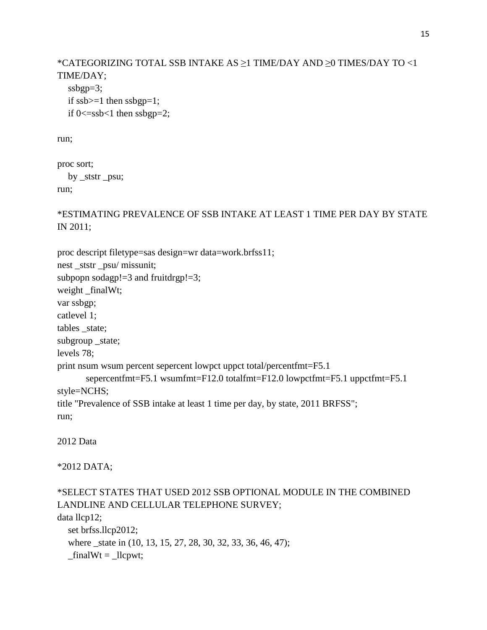```
*CATEGORIZING TOTAL SSB INTAKE AS ≥1 TIME/DAY AND ≥0 TIMES/DAY TO <1
TIME/DAY; 
   ssbgp=3; 
  if ssb>=1 then ssbgp=1;
  if 0 \leq sssb\leq 1 then ssbgp=2;
```
run;

```
proc sort; 
   by _ststr _psu; 
run;
```
\*ESTIMATING PREVALENCE OF SSB INTAKE AT LEAST 1 TIME PER DAY BY STATE IN 2011;

```
proc descript filetype=sas design=wr data=work.brfss11; 
nest _ststr _psu/ missunit; 
subpopn sodagp!=3 and fruitdrgp!=3;
weight _finalWt; 
var ssbgp; 
catlevel 1; 
tables _state; 
subgroup _state; 
levels 78; 
print nsum wsum percent sepercent lowpct uppct total/percentfmt=F5.1 
        sepercentfmt=F5.1 wsumfmt=F12.0 totalfmt=F12.0 lowpctfmt=F5.1 uppctfmt=F5.1 
style=NCHS; 
title "Prevalence of SSB intake at least 1 time per day, by state, 2011 BRFSS"; 
run;
```
2012 Data

\*2012 DATA;

```
*SELECT STATES THAT USED 2012 SSB OPTIONAL MODULE IN THE COMBINED 
LANDLINE AND CELLULAR TELEPHONE SURVEY; 
data llcp12; 
   set brfss.llcp2012; 
  where _state in (10, 13, 15, 27, 28, 30, 32, 33, 36, 46, 47);
  _inalWt = _llcput;
```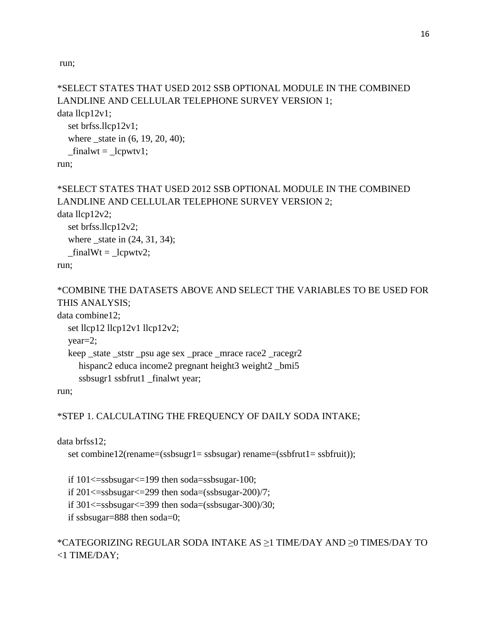run;

```
*SELECT STATES THAT USED 2012 SSB OPTIONAL MODULE IN THE COMBINED 
LANDLINE AND CELLULAR TELEPHONE SURVEY VERSION 1; 
data llcp12v1; 
   set brfss.llcp12v1; 
  where _state in (6, 19, 20, 40);
  _frac{1}{\text{finalwt}} = _\text{1cpwtv1};
run; 
*SELECT STATES THAT USED 2012 SSB OPTIONAL MODULE IN THE COMBINED 
LANDLINE AND CELLULAR TELEPHONE SURVEY VERSION 2; 
data llcp12v2;
```

```
 set brfss.llcp12v2; 
 where _state in (24, 31, 34); 
_finalWt = _lcpwtv2;
```
run;

\*COMBINE THE DATASETS ABOVE AND SELECT THE VARIABLES TO BE USED FOR THIS ANALYSIS;

data combine12;

```
set llcp12 llcp12v1 llcp12v2;
 year=2; 
 keep _state _ststr _psu age sex _prace _mrace race2 _racegr2 
  hispanc2 educa income2 pregnant height3 weight2 _bmi5
   ssbsugr1 ssbfrut1 _finalwt year;
```
run;

## \*STEP 1. CALCULATING THE FREQUENCY OF DAILY SODA INTAKE;

data brfss12;

```
set combine12(rename=(ssbsugr1= ssbsugar) rename=(ssbfrut1= ssbfruit));
```
if 101<=ssbsugar<=199 then soda=ssbsugar-100; if  $201 \leq$ ssbsugar $\leq$ =299 then soda=(ssbsugar-200)/7; if  $301 \leq$ ssbsugar $\leq$ =399 then soda=(ssbsugar-300)/30; if ssbsugar=888 then soda=0;

## \*CATEGORIZING REGULAR SODA INTAKE AS ≥1 TIME/DAY AND ≥0 TIMES/DAY TO <1 TIME/DAY;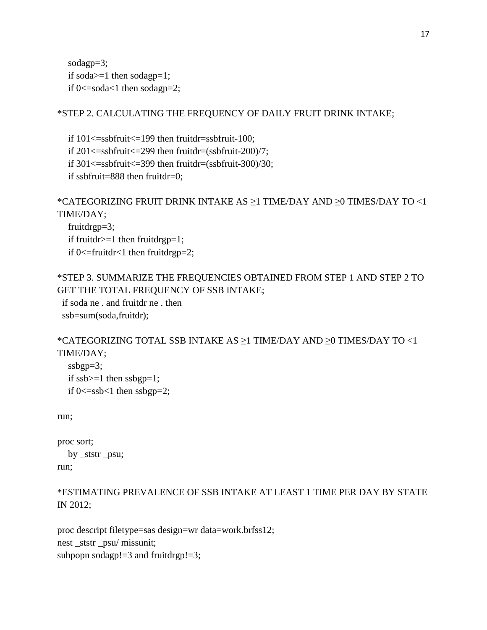sodagp=3; if soda $>=1$  then sodagp=1; if  $0 \le$ =soda $\le$ 1 then sodagp=2;

## \*STEP 2. CALCULATING THE FREQUENCY OF DAILY FRUIT DRINK INTAKE;

if 101<=ssbfruit<=199 then fruitdr=ssbfruit-100; if 201<=ssbfruit<=299 then fruitdr=(ssbfruit-200)/7; if  $301 \leq s$ ssbfruit $\leq -399$  then fruitdr=(ssbfruit-300)/30; if ssbfruit=888 then fruitdr=0;

\*CATEGORIZING FRUIT DRINK INTAKE AS ≥1 TIME/DAY AND ≥0 TIMES/DAY TO <1 TIME/DAY;

 fruitdrgp=3; if fruitdr $>=1$  then fruitdrgp=1; if  $0 \le$ =fruitdr $\le$ 1 then fruitdrgp=2;

```
*STEP 3. SUMMARIZE THE FREQUENCIES OBTAINED FROM STEP 1 AND STEP 2 TO
GET THE TOTAL FREQUENCY OF SSB INTAKE;
```
 if soda ne . and fruitdr ne . then ssb=sum(soda,fruitdr);

```
*CATEGORIZING TOTAL SSB INTAKE AS ≥1 TIME/DAY AND ≥0 TIMES/DAY TO <1
TIME/DAY;
```

```
 ssbgp=3; 
if ssb>=1 then ssbgp=1;
if 0 \leq sssb\leq 1 then ssbgp=2;
```
run;

```
proc sort; 
   by _ststr _psu; 
run;
```

```
*ESTIMATING PREVALENCE OF SSB INTAKE AT LEAST 1 TIME PER DAY BY STATE 
IN 2012;
```
proc descript filetype=sas design=wr data=work.brfss12; nest \_ststr \_psu/ missunit; subpopn sodagp! $=3$  and fruitdrgp! $=3$ ;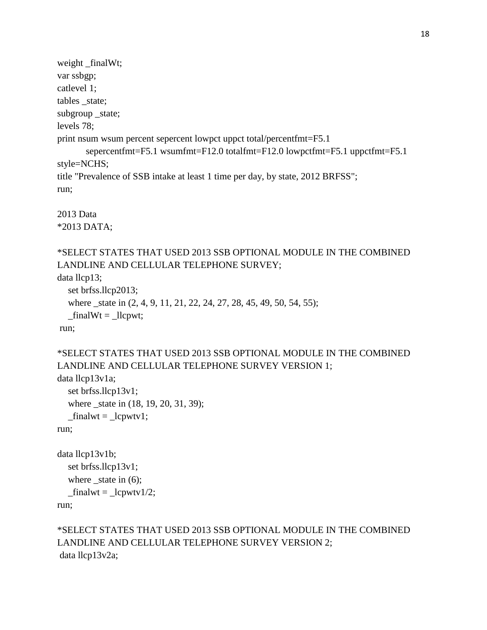```
weight _finalWt; 
var ssbgp; 
catlevel 1; 
tables _state; 
subgroup _state; 
levels 78; 
print nsum wsum percent sepercent lowpct uppct total/percentfmt=F5.1 
        sepercentfmt=F5.1 wsumfmt=F12.0 totalfmt=F12.0 lowpctfmt=F5.1 uppctfmt=F5.1 
style=NCHS; 
title "Prevalence of SSB intake at least 1 time per day, by state, 2012 BRFSS"; 
run;
```
2013 Data \*2013 DATA;

```
*SELECT STATES THAT USED 2013 SSB OPTIONAL MODULE IN THE COMBINED 
LANDLINE AND CELLULAR TELEPHONE SURVEY;
```
data llcp13;

```
 set brfss.llcp2013; 
  where _state in (2, 4, 9, 11, 21, 22, 24, 27, 28, 45, 49, 50, 54, 55);
  _inalWt = _llcput;run;
```

```
*SELECT STATES THAT USED 2013 SSB OPTIONAL MODULE IN THE COMBINED 
LANDLINE AND CELLULAR TELEPHONE SURVEY VERSION 1; 
data llcp13v1a; 
   set brfss.llcp13v1; 
  where _state in (18, 19, 20, 31, 39);
  _finalwt = _lcpwtv1;
run; 
data llcp13v1b; 
   set brfss.llcp13v1; 
  where _state in (6);
  \_finalwt = \_lepwtv1/2;
```
run;

# \*SELECT STATES THAT USED 2013 SSB OPTIONAL MODULE IN THE COMBINED LANDLINE AND CELLULAR TELEPHONE SURVEY VERSION 2; data llcp13v2a;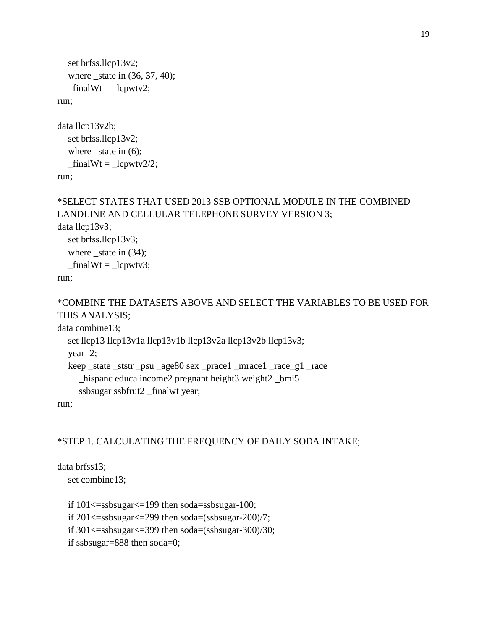```
 set brfss.llcp13v2; 
    where _state in (36, 37, 40); 
   _inalWt = \text{\_}lcpwtv2;run;
```

```
data llcp13v2b; 
    set brfss.llcp13v2; 
  where _state in (6);
   _inalWt = \text{\_}cpwtv2/2;run;
```

```
*SELECT STATES THAT USED 2013 SSB OPTIONAL MODULE IN THE COMBINED 
LANDLINE AND CELLULAR TELEPHONE SURVEY VERSION 3; 
data llcp13v3; 
   set brfss.llcp13v3; 
  where _state in (34);
  _inalWt = \text{Lepwtv3};run;
```
## \*COMBINE THE DATASETS ABOVE AND SELECT THE VARIABLES TO BE USED FOR THIS ANALYSIS;

data combine13;

```
 set llcp13 llcp13v1a llcp13v1b llcp13v2a llcp13v2b llcp13v3; 
 year=2; 
 keep _state _ststr _psu _age80 sex _prace1 _mrace1 _race_g1 _race 
   _hispanc educa income2 pregnant height3 weight2 _bmi5 
   ssbsugar ssbfrut2 _finalwt year;
```
run;

## \*STEP 1. CALCULATING THE FREQUENCY OF DAILY SODA INTAKE;

data brfss13; set combine13;

> if 101<=ssbsugar<=199 then soda=ssbsugar-100; if  $201 \leq$ ssbsugar $\leq$  299 then soda=(ssbsugar-200)/7; if 301<=ssbsugar<=399 then soda=(ssbsugar-300)/30; if ssbsugar=888 then soda=0;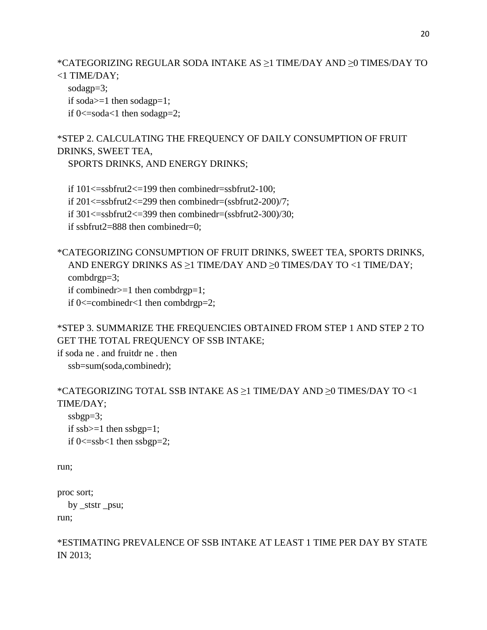\*CATEGORIZING REGULAR SODA INTAKE AS ≥1 TIME/DAY AND ≥0 TIMES/DAY TO <1 TIME/DAY;

sodagp=3; if soda>=1 then sodagp=1; if  $0 \le$ =soda $\le$ 1 then sodagp=2;

\*STEP 2. CALCULATING THE FREQUENCY OF DAILY CONSUMPTION OF FRUIT DRINKS, SWEET TEA,

SPORTS DRINKS, AND ENERGY DRINKS;

if  $101 \leq s \leq 199$  then combinedr=ssbfrut2-100; if  $201 \leq s$ ssbfrut $2 \leq 299$  then combinedr=(ssbfrut $2-200$ )/7; if  $301 \leq s$ ssbfrut $2 \leq 399$  then combinedr=(ssbfrut $2-300$ )/30; if ssbfrut2=888 then combinedr=0;

\*CATEGORIZING CONSUMPTION OF FRUIT DRINKS, SWEET TEA, SPORTS DRINKS, AND ENERGY DRINKS AS ≥1 TIME/DAY AND ≥0 TIMES/DAY TO <1 TIME/DAY; combdrgp=3; if combinedr>=1 then combdrgp=1; if  $0 \le$  = combinedr $\le$ 1 then combdrgp=2;

\*STEP 3. SUMMARIZE THE FREQUENCIES OBTAINED FROM STEP 1 AND STEP 2 TO GET THE TOTAL FREQUENCY OF SSB INTAKE;

if soda ne . and fruitdr ne . then ssb=sum(soda,combinedr);

\*CATEGORIZING TOTAL SSB INTAKE AS ≥1 TIME/DAY AND ≥0 TIMES/DAY TO <1 TIME/DAY; ssbgp=3; if  $ssb>=1$  then  $ssbgp=1$ ;

if  $0 \leq s$ ssb $\leq 1$  then ssbgp=2;

run;

```
proc sort; 
   by _ststr _psu; 
run;
```
\*ESTIMATING PREVALENCE OF SSB INTAKE AT LEAST 1 TIME PER DAY BY STATE IN 2013;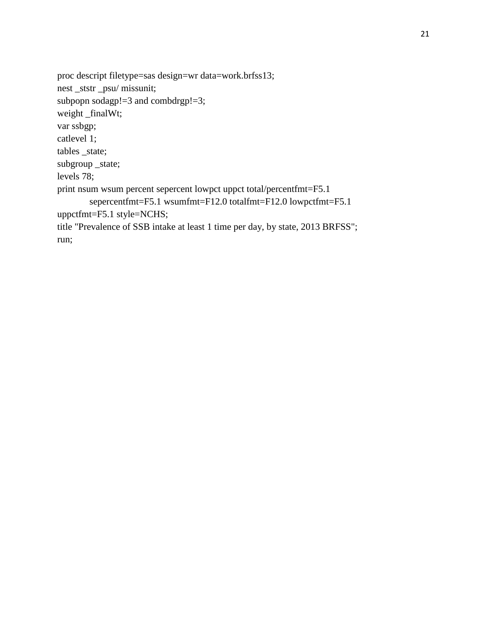proc descript filetype=sas design=wr data=work.brfss13; nest \_ststr \_psu/ missunit; subpopn sodagp!=3 and combdrgp!=3; weight \_finalWt; var ssbgp; catlevel 1; tables \_state; subgroup \_state; levels 78; print nsum wsum percent sepercent lowpct uppct total/percentfmt=F5.1 sepercentfmt=F5.1 wsumfmt=F12.0 totalfmt=F12.0 lowpctfmt=F5.1 uppctfmt=F5.1 style=NCHS; title "Prevalence of SSB intake at least 1 time per day, by state, 2013 BRFSS"; run;